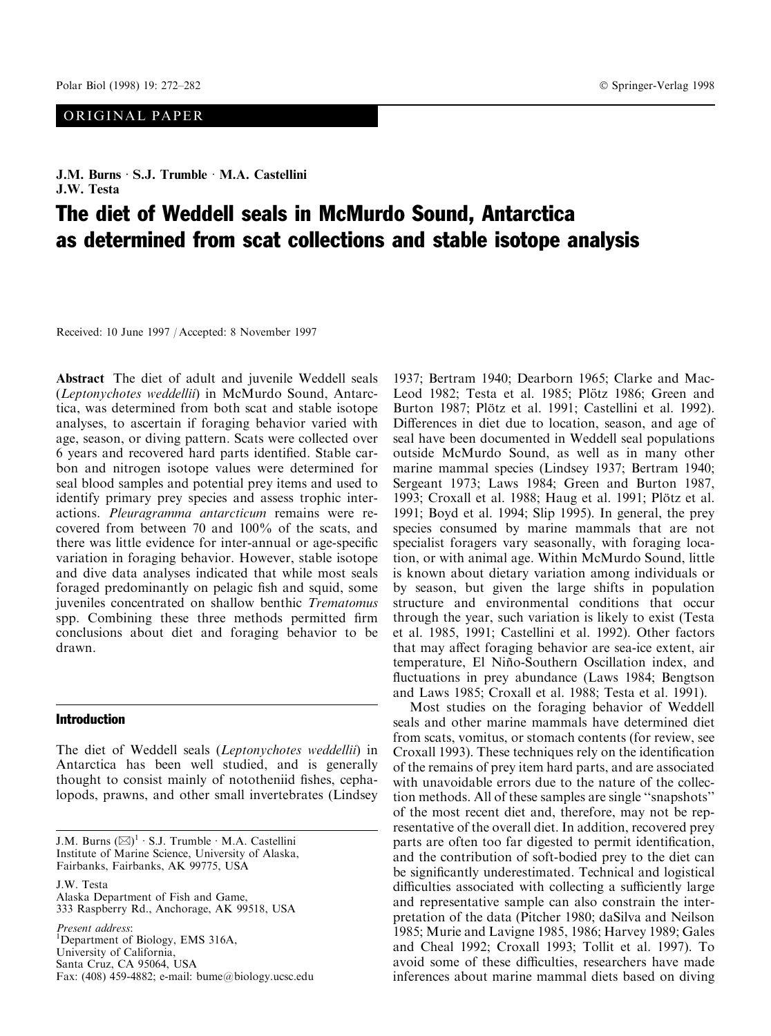# ORIGINAL PAPER

# The diet of Weddell seals in McMurdo Sound, Antarctica as determined from scat collections and stable isotope analysis

Received: 10 June 1997 / Accepted: 8 November 1997

Abstract The diet of adult and juvenile Weddell seals (Leptonychotes weddellii) in McMurdo Sound, Antarctica, was determined from both scat and stable isotope analyses, to ascertain if foraging behavior varied with age, season, or diving pattern. Scats were collected over 6 years and recovered hard parts identified. Stable carbon and nitrogen isotope values were determined for seal blood samples and potential prey items and used to identify primary prey species and assess trophic interactions. Pleuragramma antarcticum remains were recovered from between 70 and 100% of the scats, and there was little evidence for inter-annual or age-specific variation in foraging behavior. However, stable isotope and dive data analyses indicated that while most seals foraged predominantly on pelagic fish and squid, some juveniles concentrated on shallow benthic Trematomus spp. Combining these three methods permitted firm conclusions about diet and foraging behavior to be drawn.

# Introduction

The diet of Weddell seals (Leptonychotes weddellii) in Antarctica has been well studied, and is generally thought to consist mainly of nototheniid fishes, cephalopods, prawns, and other small invertebrates (Lindsey

J.M. Burns  $(\boxtimes)^1 \cdot$  S.J. Trumble  $\cdot$  M.A. Castellini Institute of Marine Science, University of Alaska, Fairbanks, Fairbanks, AK 99775, USA

J.W. Testa Alaska Department of Fish and Game, 333 Raspberry Rd., Anchorage, AK 99518, USA Present address:

<sup>1</sup>Department of Biology, EMS 316A, University of California, Santa Cruz, CA 95064, USA Fax: (408) 459-4882; e-mail: bume@biology.ucsc.edu 1937; Bertram 1940; Dearborn 1965; Clarke and Mac-Leod 1982; Testa et al. 1985; Plötz 1986; Green and Burton 1987; Plötz et al. 1991; Castellini et al. 1992). Differences in diet due to location, season, and age of seal have been documented in Weddell seal populations outside McMurdo Sound, as well as in many other marine mammal species (Lindsey 1937; Bertram 1940; Sergeant 1973; Laws 1984; Green and Burton 1987, 1993; Croxall et al. 1988; Haug et al. 1991; Plötz et al. 1991; Boyd et al. 1994; Slip 1995). In general, the prey species consumed by marine mammals that are not specialist foragers vary seasonally, with foraging location, or with animal age. Within McMurdo Sound, little is known about dietary variation among individuals or by season, but given the large shifts in population structure and environmental conditions that occur through the year, such variation is likely to exist (Testa et al. 1985, 1991; Castellini et al. 1992). Other factors that may affect foraging behavior are sea-ice extent, air temperature, El Niño-Southern Oscillation index, and fluctuations in prey abundance (Laws 1984; Bengtson and Laws 1985; Croxall et al. 1988; Testa et al. 1991).

Most studies on the foraging behavior of Weddell seals and other marine mammals have determined diet from scats, vomitus, or stomach contents (for review, see Croxall 1993). These techniques rely on the identification of the remains of prey item hard parts, and are associated with unavoidable errors due to the nature of the collection methods. All of these samples are single "snapshots" of the most recent diet and, therefore, may not be representative of the overall diet. In addition, recovered prey parts are often too far digested to permit identification, and the contribution of soft-bodied prey to the diet can be significantly underestimated. Technical and logistical difficulties associated with collecting a sufficiently large and representative sample can also constrain the interpretation of the data (Pitcher 1980; daSilva and Neilson 1985; Murie and Lavigne 1985, 1986; Harvey 1989; Gales and Cheal 1992; Croxall 1993; Tollit et al. 1997). To avoid some of these difficulties, researchers have made inferences about marine mammal diets based on diving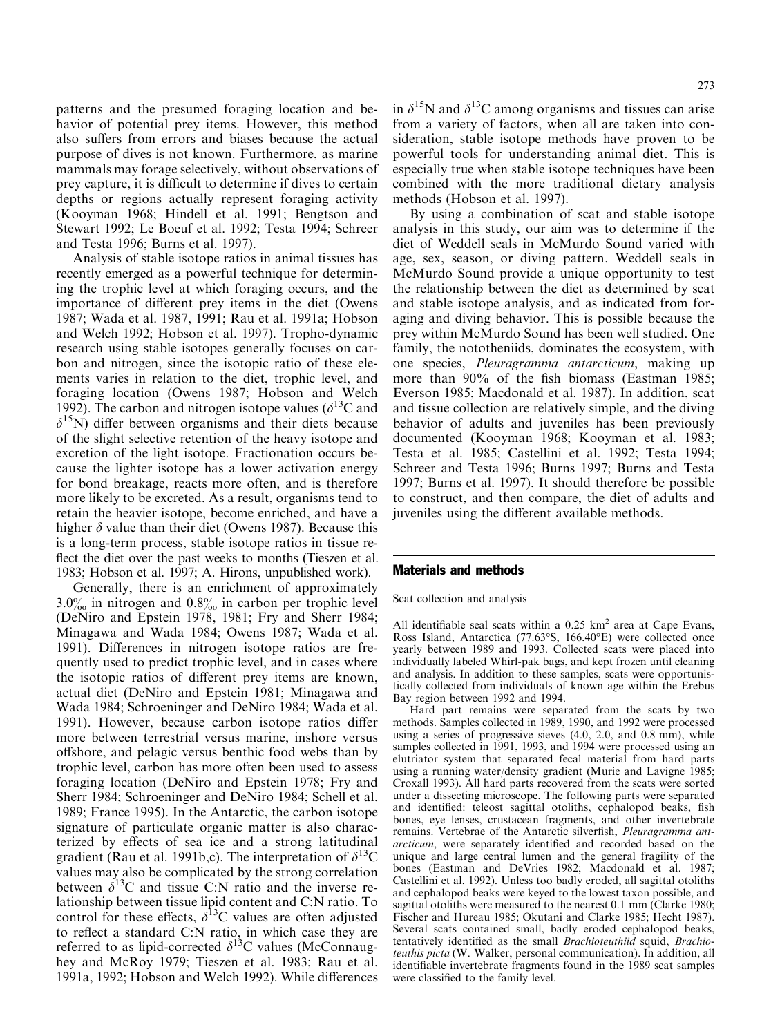patterns and the presumed foraging location and behavior of potential prey items. However, this method also suffers from errors and biases because the actual purpose of dives is not known. Furthermore, as marine mammals may forage selectively, without observations of prey capture, it is difficult to determine if dives to certain depths or regions actually represent foraging activity (Kooyman 1968; Hindell et al. 1991; Bengtson and Stewart 1992; Le Boeuf et al. 1992; Testa 1994; Schreer and Testa 1996; Burns et al. 1997).

Analysis of stable isotope ratios in animal tissues has recently emerged as a powerful technique for determining the trophic level at which foraging occurs, and the importance of different prey items in the diet (Owens 1987; Wada et al. 1987, 1991; Rau et al. 1991a; Hobson and Welch 1992; Hobson et al. 1997). Tropho-dynamic research using stable isotopes generally focuses on carbon and nitrogen, since the isotopic ratio of these elements varies in relation to the diet, trophic level, and foraging location (Owens 1987; Hobson and Welch 1992). The carbon and nitrogen isotope values ( $\delta^{13}C$  and  $\delta^{15}$ N) differ between organisms and their diets because of the slight selective retention of the heavy isotope and excretion of the light isotope. Fractionation occurs because the lighter isotope has a lower activation energy for bond breakage, reacts more often, and is therefore more likely to be excreted. As a result, organisms tend to retain the heavier isotope, become enriched, and have a higher  $\delta$  value than their diet (Owens 1987). Because this is a long-term process, stable isotope ratios in tissue re flect the diet over the past weeks to months (Tieszen et al. 1983; Hobson et al. 1997; A. Hirons, unpublished work).

Generally, there is an enrichment of approximately  $3.0\%$  in nitrogen and  $0.8\%$  in carbon per trophic level (DeNiro and Epstein 1978, 1981; Fry and Sherr 1984; Minagawa and Wada 1984; Owens 1987; Wada et al. 1991). Differences in nitrogen isotope ratios are frequently used to predict trophic level, and in cases where the isotopic ratios of different prey items are known, actual diet (DeNiro and Epstein 1981; Minagawa and Wada 1984; Schroeninger and DeNiro 1984; Wada et al. 1991). However, because carbon isotope ratios differ more between terrestrial versus marine, inshore versus offshore, and pelagic versus benthic food webs than by trophic level, carbon has more often been used to assess foraging location (DeNiro and Epstein 1978; Fry and Sherr 1984; Schroeninger and DeNiro 1984; Schell et al. 1989; France 1995). In the Antarctic, the carbon isotope signature of particulate organic matter is also characterized by effects of sea ice and a strong latitudinal gradient (Rau et al. 1991b,c). The interpretation of  $\delta^{13}C$ values may also be complicated by the strong correlation between  $\delta^{13}$ C and tissue C:N ratio and the inverse relationship between tissue lipid content and C:N ratio. To control for these effects,  $\delta^{13}$ C values are often adjusted to reflect a standard C:N ratio, in which case they are referred to as lipid-corrected  $\delta^{13}$ C values (McConnaughey and McRoy 1979; Tieszen et al. 1983; Rau et al. 1991a, 1992; Hobson and Welch 1992). While differences in  $\delta^{15}N$  and  $\delta^{13}C$  among organisms and tissues can arise from a variety of factors, when all are taken into consideration, stable isotope methods have proven to be powerful tools for understanding animal diet. This is especially true when stable isotope techniques have been combined with the more traditional dietary analysis

By using a combination of scat and stable isotope analysis in this study, our aim was to determine if the diet of Weddell seals in McMurdo Sound varied with age, sex, season, or diving pattern. Weddell seals in McMurdo Sound provide a unique opportunity to test the relationship between the diet as determined by scat and stable isotope analysis, and as indicated from foraging and diving behavior. This is possible because the prey within McMurdo Sound has been well studied. One family, the nototheniids, dominates the ecosystem, with one species, Pleuragramma antarcticum, making up more than 90% of the fish biomass (Eastman 1985; Everson 1985; Macdonald et al. 1987). In addition, scat and tissue collection are relatively simple, and the diving behavior of adults and juveniles has been previously documented (Kooyman 1968; Kooyman et al. 1983; Testa et al. 1985; Castellini et al. 1992; Testa 1994; Schreer and Testa 1996; Burns 1997; Burns and Testa 1997; Burns et al. 1997). It should therefore be possible to construct, and then compare, the diet of adults and juveniles using the different available methods.

## Materials and methods

methods (Hobson et al. 1997).

Scat collection and analysis

All identifiable seal scats within a  $0.25 \text{ km}^2$  area at Cape Evans, Ross Island, Antarctica (77.63°S, 166.40°E) were collected once yearly between 1989 and 1993. Collected scats were placed into individually labeled Whirl-pak bags, and kept frozen until cleaning and analysis. In addition to these samples, scats were opportunistically collected from individuals of known age within the Erebus Bay region between 1992 and 1994.

Hard part remains were separated from the scats by two methods. Samples collected in 1989, 1990, and 1992 were processed using a series of progressive sieves (4.0, 2.0, and 0.8 mm), while samples collected in 1991, 1993, and 1994 were processed using an elutriator system that separated fecal material from hard parts using a running water/density gradient (Murie and Lavigne 1985; Croxall 1993). All hard parts recovered from the scats were sorted under a dissecting microscope. The following parts were separated and identified: teleost sagittal otoliths, cephalopod beaks, fish bones, eye lenses, crustacean fragments, and other invertebrate remains. Vertebrae of the Antarctic silverfish, Pleuragramma antarcticum, were separately identified and recorded based on the unique and large central lumen and the general fragility of the bones (Eastman and DeVries 1982; Macdonald et al. 1987; Castellini et al. 1992). Unless too badly eroded, all sagittal otoliths and cephalopod beaks were keyed to the lowest taxon possible, and sagittal otoliths were measured to the nearest 0.1 mm (Clarke 1980; Fischer and Hureau 1985; Okutani and Clarke 1985; Hecht 1987). Several scats contained small, badly eroded cephalopod beaks, tentatively identified as the small Brachioteuthiid squid, Brachioteuthis picta (W. Walker, personal communication). In addition, all identifiable invertebrate fragments found in the 1989 scat samples were classified to the family level.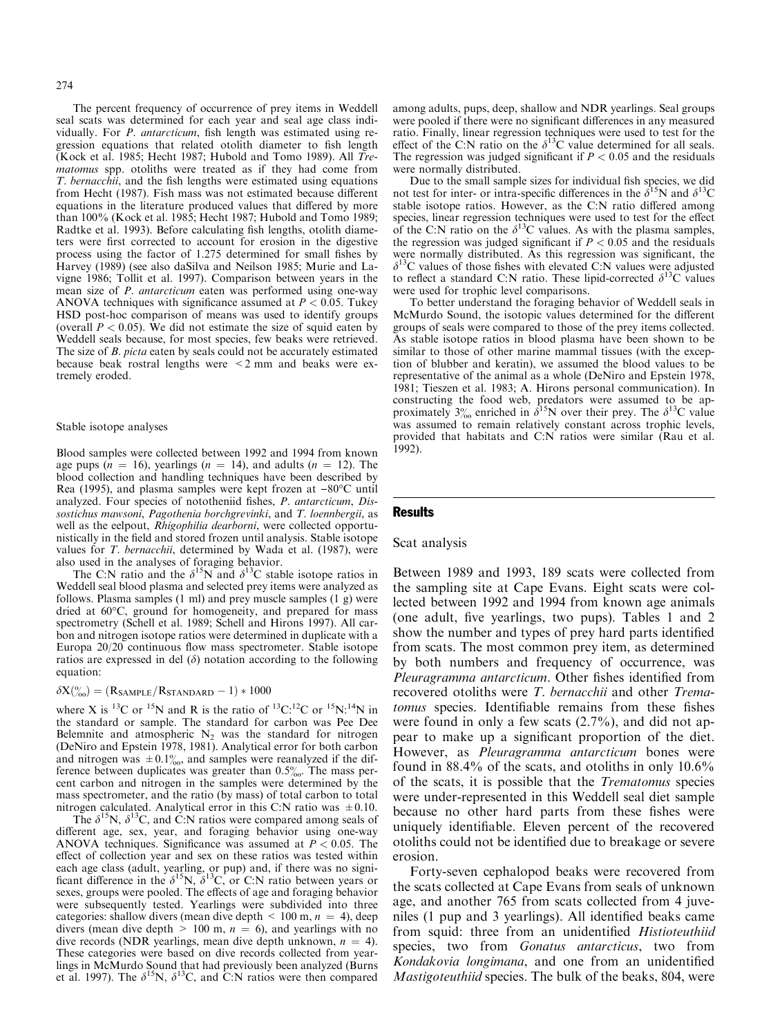The percent frequency of occurrence of prey items in Weddell seal scats was determined for each year and seal age class individually. For  $P$ . antarcticum, fish length was estimated using regression equations that related otolith diameter to fish length (Kock et al. 1985; Hecht 1987; Hubold and Tomo 1989). All Trematomus spp. otoliths were treated as if they had come from T. bernacchii, and the fish lengths were estimated using equations from Hecht (1987). Fish mass was not estimated because different equations in the literature produced values that differed by more than 100% (Kock et al. 1985; Hecht 1987; Hubold and Tomo 1989; Radtke et al. 1993). Before calculating fish lengths, otolith diameters were first corrected to account for erosion in the digestive process using the factor of  $1.275$  determined for small fishes by Harvey (1989) (see also daSilva and Neilson 1985; Murie and Lavigne 1986; Tollit et al. 1997). Comparison between years in the mean size of *P. antarcticum* eaten was performed using one-way ANOVA techniques with significance assumed at  $P < 0.05$ . Tukey HSD post-hoc comparison of means was used to identify groups (overall  $P < 0.05$ ). We did not estimate the size of squid eaten by Weddell seals because, for most species, few beaks were retrieved. The size of B. picta eaten by seals could not be accurately estimated because beak rostral lengths were <2 mm and beaks were extremely eroded.

#### Stable isotope analyses

Blood samples were collected between 1992 and 1994 from known age pups ( $n = 16$ ), yearlings ( $n = 14$ ), and adults ( $n = 12$ ). The blood collection and handling techniques have been described by Rea (1995), and plasma samples were kept frozen at  $-80^{\circ}$ C until analyzed. Four species of nototheniid fishes, P. antarcticum, Dissostichus mawsoni, Pagothenia borchgrevinki, and T. loennbergii, as well as the eelpout, Rhigophilia dearborni, were collected opportunistically in the field and stored frozen until analysis. Stable isotope values for T. bernacchii, determined by Wada et al. (1987), were also used in the analyses of foraging behavior.

The C:N ratio and the  $\delta^{15}N$  and  $\delta^{13}C$  stable isotope ratios in Weddell seal blood plasma and selected prey items were analyzed as follows. Plasma samples (1 ml) and prey muscle samples (1 g) were dried at 60°C, ground for homogeneity, and prepared for mass spectrometry (Schell et al. 1989; Schell and Hirons 1997). All carbon and nitrogen isotope ratios were determined in duplicate with a Europa  $20/20$  continuous flow mass spectrometer. Stable isotope ratios are expressed in del  $(\delta)$  notation according to the following equation:

# $\delta X(^{\text{o}}_{\text{oo}})=(R_{\text{SAMPLE}}/R_{\text{STANDARD}} - 1) * 1000$

where X is <sup>13</sup>C or <sup>15</sup>N and R is the ratio of <sup>13</sup>C:<sup>12</sup>C or <sup>15</sup>N:<sup>14</sup>N in the standard or sample. The standard for carbon was Pee Dee Belemnite and atmospheric  $N_2$  was the standard for nitrogen (DeNiro and Epstein 1978, 1981). Analytical error for both carbon and nitrogen was  $\pm 0.1\%$ , and samples were reanalyzed if the difference between duplicates was greater than 0.5%. The mass percent carbon and nitrogen in the samples were determined by the mass spectrometer, and the ratio (by mass) of total carbon to total nitrogen calculated. Analytical error in this C:N ratio was  $\pm 0.10$ .

The  $\delta^{15}N$ ,  $\delta^{13}C$ , and C:N ratios were compared among seals of different age, sex, year, and foraging behavior using one-way ANOVA techniques. Significance was assumed at  $P < 0.05$ . The effect of collection year and sex on these ratios was tested within each age class (adult, yearling, or pup) and, if there was no significant difference in the  $\delta^{15}N$ ,  $\delta^{13}C$ , or C:N ratio between years or sexes, groups were pooled. The effects of age and foraging behavior were subsequently tested. Yearlings were subdivided into three categories: shallow divers (mean dive depth  $\leq 100$  m,  $n = 4$ ), deep divers (mean dive depth  $> 100$  m,  $n = 6$ ), and yearlings with no dive records (NDR yearlings, mean dive depth unknown,  $n = 4$ ). These categories were based on dive records collected from yearlings in McMurdo Sound that had previously been analyzed (Burns et al. 1997). The  $\delta^{15}N$ ,  $\delta^{13}C$ , and C:N ratios were then compared among adults, pups, deep, shallow and NDR yearlings. Seal groups were pooled if there were no significant differences in any measured ratio. Finally, linear regression techniques were used to test for the effect of the C:N ratio on the  $\delta^{13}$ C value determined for all seals. The regression was judged significant if  $P < 0.05$  and the residuals were normally distributed.

Due to the small sample sizes for individual fish species, we did not test for inter- or intra-specific differences in the  $\delta^{15}N$  and  $\delta^{13}C$ stable isotope ratios. However, as the C:N ratio differed among species, linear regression techniques were used to test for the effect of the C:N ratio on the  $\delta^{13}$ C values. As with the plasma samples, the regression was judged significant if  $P < 0.05$  and the residuals were normally distributed. As this regression was significant, the  $\delta^{13}$ C values of those fishes with elevated C:N values were adjusted to reflect a standard C:N ratio. These lipid-corrected  $\delta^{13}$ C values were used for trophic level comparisons.

To better understand the foraging behavior of Weddell seals in McMurdo Sound, the isotopic values determined for the different groups of seals were compared to those of the prey items collected. As stable isotope ratios in blood plasma have been shown to be similar to those of other marine mammal tissues (with the exception of blubber and keratin), we assumed the blood values to be representative of the animal as a whole (DeNiro and Epstein 1978, 1981; Tieszen et al. 1983; A. Hirons personal communication). In constructing the food web, predators were assumed to be approximately  $3\%$  enriched in  $\delta^{15}N$  over their prey. The  $\delta^{13}C$  value was assumed to remain relatively constant across trophic levels, provided that habitats and C:N ratios were similar (Rau et al. 1992).

#### Results

## Scat analysis

Between 1989 and 1993, 189 scats were collected from the sampling site at Cape Evans. Eight scats were collected between 1992 and 1994 from known age animals (one adult, five yearlings, two pups). Tables 1 and 2 show the number and types of prey hard parts identified from scats. The most common prey item, as determined by both numbers and frequency of occurrence, was Pleuragramma antarcticum. Other fishes identified from recovered otoliths were T. bernacchii and other Trematomus species. Identifiable remains from these fishes were found in only a few scats (2.7%), and did not appear to make up a significant proportion of the diet. However, as Pleuragramma antarcticum bones were found in 88.4% of the scats, and otoliths in only 10.6% of the scats, it is possible that the Trematomus species were under-represented in this Weddell seal diet sample because no other hard parts from these fishes were uniquely identifiable. Eleven percent of the recovered otoliths could not be identified due to breakage or severe erosion.

Forty-seven cephalopod beaks were recovered from the scats collected at Cape Evans from seals of unknown age, and another 765 from scats collected from 4 juveniles (1 pup and 3 yearlings). All identified beaks came from squid: three from an unidentified *Histioteuthiid* species, two from Gonatus antarcticus, two from Kondakovia longimana, and one from an unidentified Mastigoteuthiid species. The bulk of the beaks, 804, were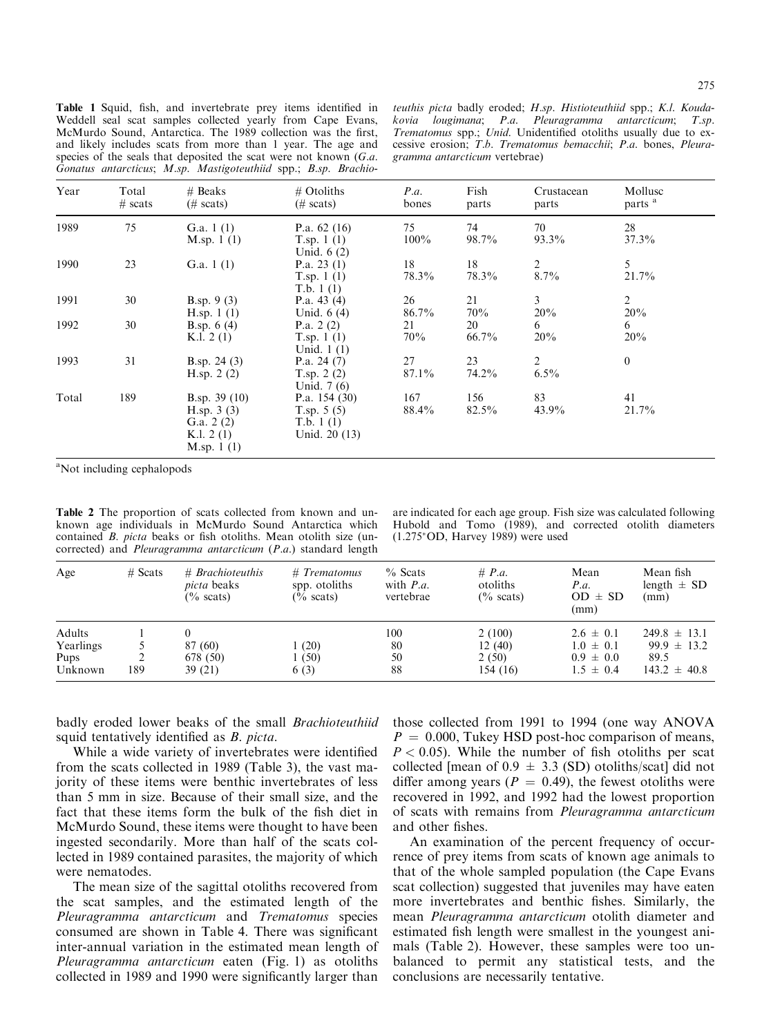Table 1 Squid, fish, and invertebrate prey items identified in Weddell seal scat samples collected yearly from Cape Evans, McMurdo Sound, Antarctica. The 1989 collection was the first, and likely includes scats from more than 1 year. The age and species of the seals that deposited the scat were not known (G.a. Gonatus antarcticus; M.sp. Mastigoteuthiid spp.; B.sp. Brachio-

teuthis picta badly eroded; H.sp. Histioteuthiid spp.; K.l. Koudakovia lougimana; P.a. Pleuragramma antarcticum; T.sp. Trematomus spp.; Unid. Unidentified otoliths usually due to excessive erosion; T.b. Trematomus bemacchii; P.a. bones, Pleuragramma antarcticum vertebrae)

| Year  | Total<br>$# \text{ scats}$ | $#$ Beaks<br>$(\# \text{scats})$                                             | $#$ Otoliths<br>$(\# \text{ scats})$                           | P.a.<br>bones  | Fish<br>parts | Crustacean<br>parts       | Mollusc<br>parts <sup>a</sup> |  |
|-------|----------------------------|------------------------------------------------------------------------------|----------------------------------------------------------------|----------------|---------------|---------------------------|-------------------------------|--|
| 1989  | 75                         | G.a. $1(1)$<br>M.sp. $1(1)$                                                  | P.a. $62(16)$<br>T.sp. $1(1)$<br>Unid. $6(2)$                  | 75<br>$100\%$  | 74<br>98.7%   | 70<br>93.3%               | 28<br>37.3%                   |  |
| 1990  | 23                         | G.a. $1(1)$                                                                  | P.a. $23(1)$<br>T.sp. $1(1)$<br>T.b. $1(1)$                    | 18<br>78.3%    | 18<br>78.3%   | $\overline{2}$<br>8.7%    | 5<br>21.7%                    |  |
| 1991  | 30                         | <b>B.sp.</b> 9 (3)<br>H.sp. $1(1)$                                           | P.a. $43(4)$<br>Unid. $6(4)$                                   | 26<br>86.7%    | 21<br>70%     | $\mathfrak{Z}$<br>20%     | $\overline{2}$<br>20%         |  |
| 1992  | 30                         | <b>B.sp.</b> $6(4)$<br>K.l. $2(1)$                                           | P.a. $2(2)$<br>T.sp. $1(1)$<br>Unid. $1(1)$                    | 21<br>70%      | 20<br>66.7%   | 6<br>20%                  | 6<br>20%                      |  |
| 1993  | 31                         | B.sp. $24(3)$<br>H.sp. $2(2)$                                                | P.a. $24(7)$<br>T.sp. $2(2)$<br>Unid. $7(6)$                   | 27<br>$87.1\%$ | 23<br>74.2%   | $\overline{2}$<br>$6.5\%$ | $\mathbf{0}$                  |  |
| Total | 189                        | B.sp. $39(10)$<br>H.sp. $3(3)$<br>G.a. $2(2)$<br>K.l. $2(1)$<br>M.sp. $1(1)$ | P.a. $154(30)$<br>T.sp. $5(5)$<br>T.b. $1(1)$<br>Unid. 20 (13) | 167<br>88.4%   | 156<br>82.5%  | 83<br>43.9%               | 41<br>21.7%                   |  |

<sup>a</sup>Not including cephalopods

Table 2 The proportion of scats collected from known and unknown age individuals in McMurdo Sound Antarctica which contained  $B$ . picta beaks or fish otoliths. Mean otolith size (uncorrected) and Pleuragramma antarcticum (P.a.) standard length

are indicated for each age group. Fish size was calculated following Hubold and Tomo (1989), and corrected otolith diameters (1.275\*OD, Harvey 1989) were used

| Age                                    | $#$ Scats | # Brachioteuthis<br><i>picta</i> beaks<br>$\frac{6}{6}$ scats) | $#$ Trematomus<br>spp. otoliths<br>$\frac{6}{6}$ scats) | $%$ Scats<br>with $P.a.$<br>vertebrae | # P.a.<br>otoliths<br>$\frac{6}{6}$ scats) | Mean<br>P.a.<br>$OD \pm SD$<br>(mm)                              | Mean fish<br>length $\pm$ SD<br>(mm)                            |
|----------------------------------------|-----------|----------------------------------------------------------------|---------------------------------------------------------|---------------------------------------|--------------------------------------------|------------------------------------------------------------------|-----------------------------------------------------------------|
| Adults<br>Yearlings<br>Pups<br>Unknown | 189       | 87 (60)<br>678 (50)<br>39 (21)                                 | 1(20)<br>1 (50)<br>6(3)                                 | 100<br>80<br>50<br>88                 | 2(100)<br>12(40)<br>2(50)<br>154 (16)      | $2.6 \pm 0.1$<br>$1.0 \pm 0.1$<br>$0.9 \pm 0.0$<br>$1.5 \pm 0.4$ | $249.8 \pm 13.1$<br>$99.9 \pm 13.2$<br>89.5<br>$143.2 \pm 40.8$ |

badly eroded lower beaks of the small Brachioteuthiid squid tentatively identified as  $B$ . picta.

While a wide variety of invertebrates were identified from the scats collected in 1989 (Table 3), the vast majority of these items were benthic invertebrates of less than 5 mm in size. Because of their small size, and the fact that these items form the bulk of the fish diet in McMurdo Sound, these items were thought to have been ingested secondarily. More than half of the scats collected in 1989 contained parasites, the majority of which were nematodes.

The mean size of the sagittal otoliths recovered from the scat samples, and the estimated length of the Pleuragramma antarcticum and Trematomus species consumed are shown in Table 4. There was significant inter-annual variation in the estimated mean length of Pleuragramma antarcticum eaten (Fig. 1) as otoliths collected in 1989 and 1990 were significantly larger than those collected from 1991 to 1994 (one way ANOVA  $P = 0.000$ , Tukey HSD post-hoc comparison of means,  $P < 0.05$ ). While the number of fish otoliths per scat collected [mean of  $0.9 \pm 3.3$  (SD) otoliths/scat] did not differ among years ( $P = 0.49$ ), the fewest otoliths were recovered in 1992, and 1992 had the lowest proportion of scats with remains from Pleuragramma antarcticum and other fishes.

An examination of the percent frequency of occurrence of prey items from scats of known age animals to that of the whole sampled population (the Cape Evans scat collection) suggested that juveniles may have eaten more invertebrates and benthic fishes. Similarly, the mean Pleuragramma antarcticum otolith diameter and estimated fish length were smallest in the youngest animals (Table 2). However, these samples were too unbalanced to permit any statistical tests, and the conclusions are necessarily tentative.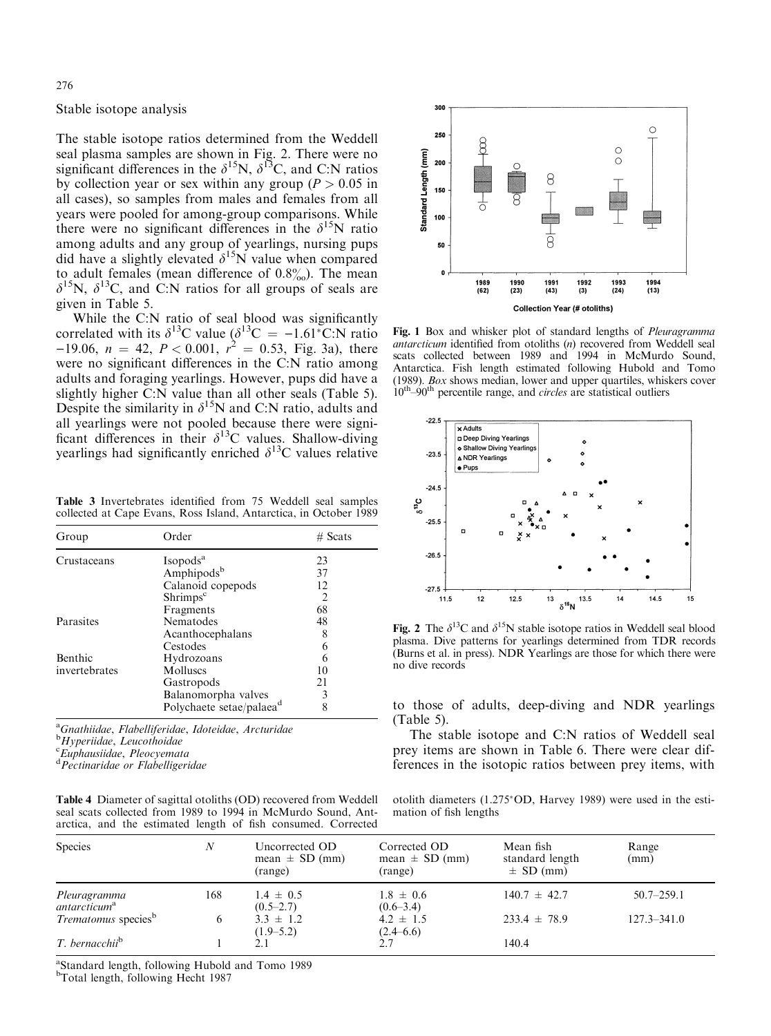### Stable isotope analysis

The stable isotope ratios determined from the Weddell seal plasma samples are shown in Fig. 2. There were no significant differences in the  $\delta^{15}N$ ,  $\delta^{13}C$ , and C:N ratios by collection year or sex within any group ( $P > 0.05$  in all cases), so samples from males and females from all years were pooled for among-group comparisons. While there were no significant differences in the  $\delta^{15}N$  ratio among adults and any group of yearlings, nursing pups did have a slightly elevated  $\delta^{15}$ N value when compared to adult females (mean difference of  $0.8\%$ ). The mean  $\delta^{15}$ N,  $\delta^{13}$ C, and C:N ratios for all groups of seals are given in Table 5.

While the C:N ratio of seal blood was significantly correlated with its  $\delta^{13}$ C value ( $\delta^{13}$ C = -1.61<sup>\*</sup>C:N ratio  $-19.06$ ,  $n = 42$ ,  $P < 0.001$ ,  $r^2 = 0.53$ , Fig. 3a), there were no significant differences in the C:N ratio among adults and foraging yearlings. However, pups did have a slightly higher C:N value than all other seals (Table 5). Despite the similarity in  $\delta^{15}N$  and C:N ratio, adults and all yearlings were not pooled because there were signi ficant differences in their  $\delta^{13}$ C values. Shallow-diving yearlings had significantly enriched  $\delta^{13}$ C values relative

Table 3 Invertebrates identified from 75 Weddell seal samples collected at Cape Evans, Ross Island, Antarctica, in October 1989

| Group         | Order                                | $#$ Scats      |
|---------------|--------------------------------------|----------------|
| Crustaceans   | Isopods <sup>a</sup>                 | 23             |
|               | Amphipods <sup>b</sup>               | 37             |
|               | Calanoid copepods                    | 12             |
|               | Shrimps <sup>c</sup>                 | $\mathfrak{D}$ |
|               | Fragments                            | 68             |
| Parasites     | Nematodes                            | 48             |
|               | Acanthocephalans                     | 8              |
|               | Cestodes                             | 6              |
| Benthic       | Hydrozoans                           |                |
| invertebrates | Molluses                             | 10             |
|               | Gastropods                           | 21             |
|               | Balanomorpha valves                  | 3              |
|               | Polychaete setae/palaea <sup>d</sup> | 8              |

<sup>a</sup>Gnathiidae, Flabelliferidae, Idoteidae, Arcturidae<br><sup>b</sup>Hyperiidae, Lauesthoidae

<sup>b</sup>Hyperiidae, Leucothoidae<br><sup>c</sup>Euphausiidae, Pleocyemata

<sup>c</sup>Euphausiidae, Pleocyemata<br><sup>d</sup>Pectinaridae or Flabelligeridae

|  |  |  |  | <b>Table 4</b> Diameter of sagittal otoliths (OD) recovered from Weddell |  |
|--|--|--|--|--------------------------------------------------------------------------|--|
|  |  |  |  | seal scats collected from 1989 to 1994 in McMurdo Sound, Ant-            |  |
|  |  |  |  | arctica, and the estimated length of fish consumed. Corrected            |  |



Fig. 1 Box and whisker plot of standard lengths of *Pleuragramma* antarcticum identified from otoliths  $(n)$  recovered from Weddell seal scats collected between 1989 and 1994 in McMurdo Sound, Antarctica. Fish length estimated following Hubold and Tomo (1989). Box shows median, lower and upper quartiles, whiskers cover  $10^{\text{th}}$ -90<sup>th</sup> percentile range, and *circles* are statistical outliers



Fig. 2 The  $\delta^{13}$ C and  $\delta^{15}$ N stable isotope ratios in Weddell seal blood plasma. Dive patterns for yearlings determined from TDR records (Burns et al. in press). NDR Yearlings are those for which there were no dive records

to those of adults, deep-diving and NDR yearlings (Table 5).

The stable isotope and C:N ratios of Weddell seal prey items are shown in Table 6. There were clear differences in the isotopic ratios between prey items, with

otolith diameters (1.275\*OD, Harvey 1989) were used in the estimation of fish lengths

| <b>Species</b>                           | N   | Uncorrected OD<br>mean $\pm$ SD (mm)<br>(range) | Corrected OD<br>mean $\pm$ SD (mm)<br>(range) | Mean fish<br>standard length<br>$\pm$ SD (mm) | Range<br>(mm)   |
|------------------------------------------|-----|-------------------------------------------------|-----------------------------------------------|-----------------------------------------------|-----------------|
| Pleuragramma<br>antarcticum <sup>a</sup> | 168 | $1.4 \pm 0.5$<br>$(0.5-2.7)$                    | $1.8 \pm 0.6$<br>$(0.6-3.4)$                  | $140.7 \pm 42.7$                              | $50.7 - 259.1$  |
| <i>Trematomus</i> species <sup>b</sup>   | 6   | $3.3 \pm 1.2$<br>$(1.9-5.2)$                    | $4.2 \pm 1.5$<br>(2.4–6.6)                    | $233.4 \pm 78.9$                              | $127.3 - 341.0$ |
| T. bernacchii <sup>b</sup>               |     |                                                 |                                               | 140.4                                         |                 |

a Standard length, following Hubold and Tomo 1989

b Total length, following Hecht 1987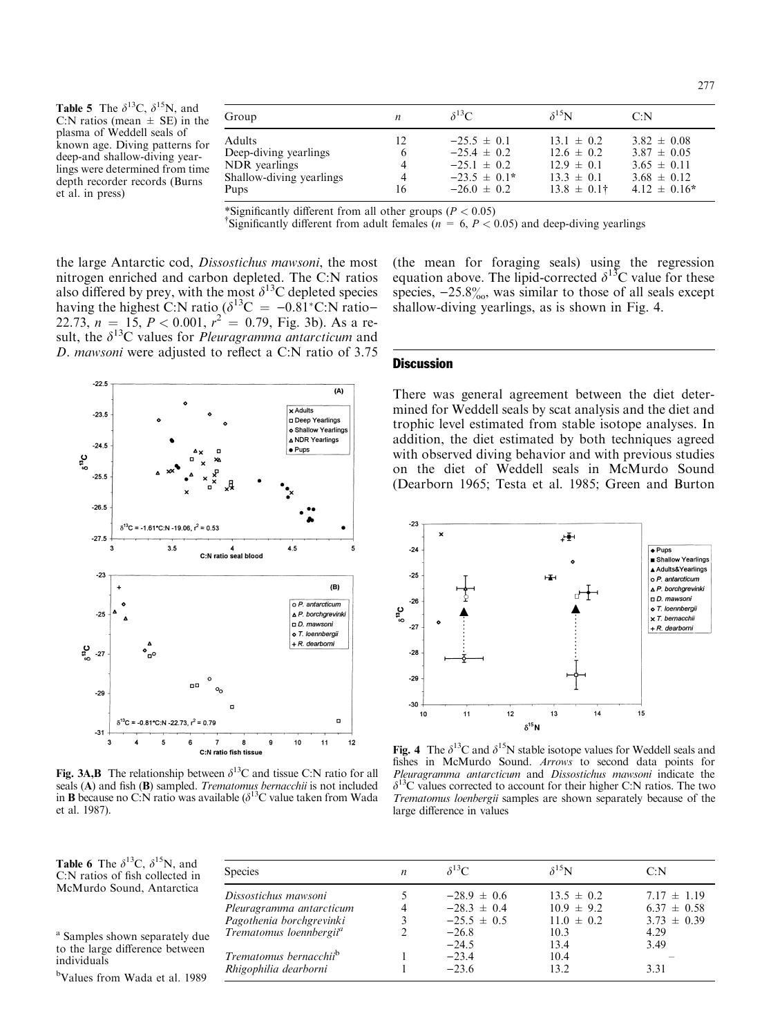| Group                    | $\boldsymbol{n}$ | $\delta^{13}C$   | $\delta^{15}N$   | C: N              |
|--------------------------|------------------|------------------|------------------|-------------------|
| Adults                   | 12               | $-25.5 \pm 0.1$  | $13.1 \pm 0.2$   | $3.82 \pm 0.08$   |
| Deep-diving yearlings    | 6                | $-25.4 \pm 0.2$  | $12.6 \pm 0.2$   | $3.87 \pm 0.05$   |
| NDR yearlings            | 4                | $-25.1 \pm 0.2$  | $12.9 \pm 0.1$   | $3.65 \pm 0.11$   |
| Shallow-diving yearlings | 4                | $-23.5 \pm 0.1*$ | $13.3 \pm 0.1$   | $3.68 \pm 0.12$   |
| Pups                     | 16               | $-26.0 \pm 0.2$  | $13.8 \pm 0.1$ † | $4.12 \pm 0.16^*$ |

\*Significantly different from all other groups ( $P < 0.05$ )

<sup>†</sup>Significantly different from adult females ( $n = 6, P < 0.05$ ) and deep-diving yearlings

the large Antarctic cod, Dissostichus mawsoni, the most nitrogen enriched and carbon depleted. The C:N ratios also differed by prey, with the most  $\delta^{13}$ C depleted species having the highest C:N ratio  $(\delta^{13}C = -0.81^{\circ}C)$ . The ratio-22.73,  $n = 15$ ,  $P < 0.001$ ,  $r^2 = 0.79$ , Fig. 3b). As a result, the  $\delta^{13}$ C values for *Pleuragramma antarcticum* and D. mawsoni were adjusted to reflect a C:N ratio of 3.75



Fig. 3A,B The relationship between  $\delta^{13}$ C and tissue C:N ratio for all seals (A) and fish (B) sampled. Trematomus bernacchii is not included in **B** because no C:N ratio was available  $\delta^{13}$ C value taken from Wada et al. 1987).

(the mean for foraging seals) using the regression equation above. The lipid-corrected  $\delta^{13}$ C value for these species,  $-25.8\%$ , was similar to those of all seals except shallow-diving yearlings, as is shown in Fig. 4.

## **Discussion**

There was general agreement between the diet determined for Weddell seals by scat analysis and the diet and trophic level estimated from stable isotope analyses. In addition, the diet estimated by both techniques agreed with observed diving behavior and with previous studies on the diet of Weddell seals in McMurdo Sound (Dearborn 1965; Testa et al. 1985; Green and Burton



Fig. 4 The  $\delta^{13}C$  and  $\delta^{15}N$  stable isotope values for Weddell seals and fishes in McMurdo Sound. Arrows to second data points for Pleuragramma antarcticum and Dissostichus mawsoni indicate the  $\delta^{13}$ C values corrected to account for their higher C:N ratios. The two Trematomus loenbergii samples are shown separately because of the large difference in values

**Table 6** The  $\delta^{13}$ C,  $\delta^{15}$ N, and C:N ratios of fish collected in McMurdo Sound, Antarctica

<sup>a</sup> Samples shown separately due to the large difference between individuals

b Values from Wada et al. 1989

| <b>Species</b>                      | $\boldsymbol{n}$ | $\delta^{13}C$  | $\delta^{15}N$ | C: N            |
|-------------------------------------|------------------|-----------------|----------------|-----------------|
| Dissostichus mawsoni                |                  | $-28.9 \pm 0.6$ | $13.5 \pm 0.2$ | $7.17 \pm 1.19$ |
| Pleuragramma antarcticum            |                  | $-28.3 \pm 0.4$ | $10.9 \pm 9.2$ | $6.37 \pm 0.58$ |
| Pagothenia borchgrevinki            |                  | $-25.5 \pm 0.5$ | $11.0 \pm 0.2$ | $3.73 \pm 0.39$ |
| Trematomus loennbergii <sup>a</sup> |                  | $-26.8$         | 10.3           | 4.29            |
|                                     |                  | $-24.5$         | 13.4           | 3.49            |
| Trematomus bernacchii <sup>b</sup>  |                  | $-23.4$         | 10.4           |                 |
| Rhigophilia dearborni               |                  | $-23.6$         | 13.2.          | 3.31            |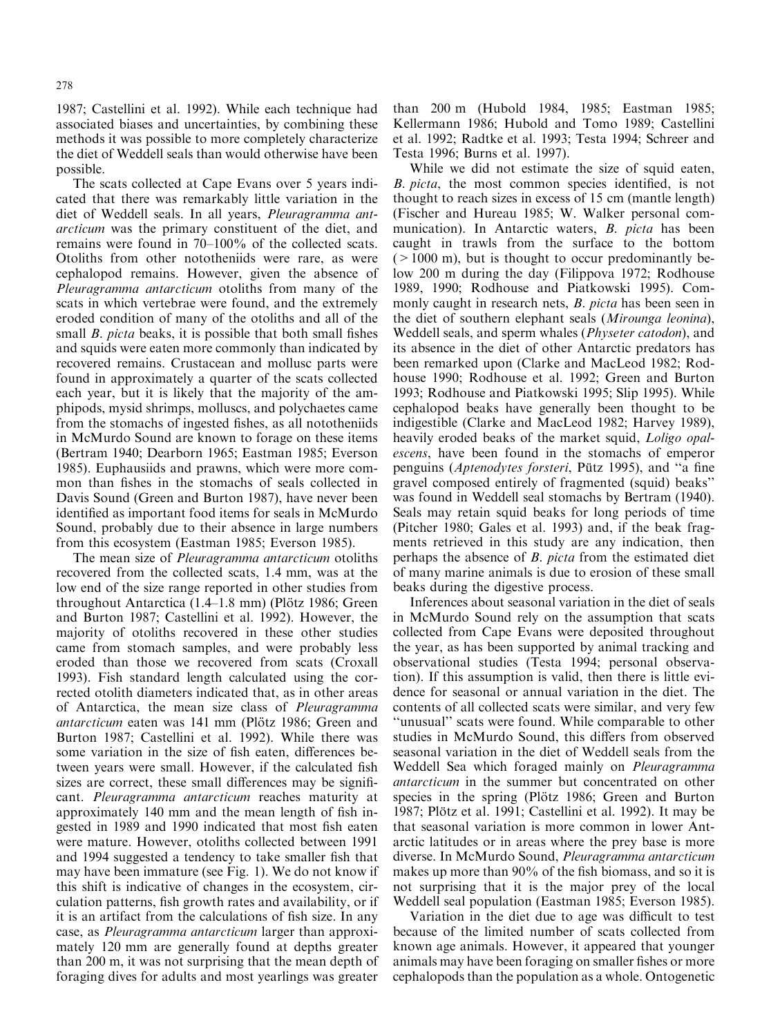1987; Castellini et al. 1992). While each technique had associated biases and uncertainties, by combining these methods it was possible to more completely characterize the diet of Weddell seals than would otherwise have been possible.

The scats collected at Cape Evans over 5 years indicated that there was remarkably little variation in the diet of Weddell seals. In all years, Pleuragramma antarcticum was the primary constituent of the diet, and remains were found in  $70-100\%$  of the collected scats. Otoliths from other nototheniids were rare, as were cephalopod remains. However, given the absence of Pleuragramma antarcticum otoliths from many of the scats in which vertebrae were found, and the extremely eroded condition of many of the otoliths and all of the small *B. picta* beaks, it is possible that both small fishes and squids were eaten more commonly than indicated by recovered remains. Crustacean and mollusc parts were found in approximately a quarter of the scats collected each year, but it is likely that the majority of the amphipods, mysid shrimps, molluscs, and polychaetes came from the stomachs of ingested fishes, as all nototheniids in McMurdo Sound are known to forage on these items (Bertram 1940; Dearborn 1965; Eastman 1985; Everson 1985). Euphausiids and prawns, which were more common than fishes in the stomachs of seals collected in Davis Sound (Green and Burton 1987), have never been identified as important food items for seals in McMurdo Sound, probably due to their absence in large numbers from this ecosystem (Eastman 1985; Everson 1985).

The mean size of *Pleuragramma antarcticum* otoliths recovered from the collected scats, 1.4 mm, was at the low end of the size range reported in other studies from throughout Antarctica  $(1.4-1.8 \text{ mm})$  (Plötz 1986; Green and Burton 1987; Castellini et al. 1992). However, the majority of otoliths recovered in these other studies came from stomach samples, and were probably less eroded than those we recovered from scats (Croxall 1993). Fish standard length calculated using the corrected otolith diameters indicated that, as in other areas of Antarctica, the mean size class of Pleuragramma antarcticum eaten was 141 mm (Plötz 1986; Green and Burton 1987; Castellini et al. 1992). While there was some variation in the size of fish eaten, differences between years were small. However, if the calculated fish sizes are correct, these small differences may be significant. Pleuragramma antarcticum reaches maturity at approximately 140 mm and the mean length of fish ingested in 1989 and 1990 indicated that most fish eaten were mature. However, otoliths collected between 1991 and 1994 suggested a tendency to take smaller fish that may have been immature (see Fig. 1). We do not know if this shift is indicative of changes in the ecosystem, circulation patterns, fish growth rates and availability, or if it is an artifact from the calculations of fish size. In any case, as Pleuragramma antarcticum larger than approximately 120 mm are generally found at depths greater than 200 m, it was not surprising that the mean depth of foraging dives for adults and most yearlings was greater

than 200 m (Hubold 1984, 1985; Eastman 1985; Kellermann 1986; Hubold and Tomo 1989; Castellini et al. 1992; Radtke et al. 1993; Testa 1994; Schreer and Testa 1996; Burns et al. 1997).

While we did not estimate the size of squid eaten, B. picta, the most common species identified, is not thought to reach sizes in excess of 15 cm (mantle length) (Fischer and Hureau 1985; W. Walker personal communication). In Antarctic waters, B. picta has been caught in trawls from the surface to the bottom  $(>1000 \text{ m})$ , but is thought to occur predominantly below 200 m during the day (Filippova 1972; Rodhouse 1989, 1990; Rodhouse and Piatkowski 1995). Commonly caught in research nets, *B. picta* has been seen in the diet of southern elephant seals (Mirounga leonina), Weddell seals, and sperm whales (Physeter catodon), and its absence in the diet of other Antarctic predators has been remarked upon (Clarke and MacLeod 1982; Rodhouse 1990; Rodhouse et al. 1992; Green and Burton 1993; Rodhouse and Piatkowski 1995; Slip 1995). While cephalopod beaks have generally been thought to be indigestible (Clarke and MacLeod 1982; Harvey 1989), heavily eroded beaks of the market squid, *Loligo opal*escens, have been found in the stomachs of emperor penguins (Aptenodytes forsteri, Pütz 1995), and "a fine gravel composed entirely of fragmented (squid) beaks'' was found in Weddell seal stomachs by Bertram (1940). Seals may retain squid beaks for long periods of time (Pitcher 1980; Gales et al. 1993) and, if the beak fragments retrieved in this study are any indication, then perhaps the absence of B. picta from the estimated diet of many marine animals is due to erosion of these small beaks during the digestive process.

Inferences about seasonal variation in the diet of seals in McMurdo Sound rely on the assumption that scats collected from Cape Evans were deposited throughout the year, as has been supported by animal tracking and observational studies (Testa 1994; personal observation). If this assumption is valid, then there is little evidence for seasonal or annual variation in the diet. The contents of all collected scats were similar, and very few ``unusual'' scats were found. While comparable to other studies in McMurdo Sound, this differs from observed seasonal variation in the diet of Weddell seals from the Weddell Sea which foraged mainly on Pleuragramma antarcticum in the summer but concentrated on other species in the spring (Plötz 1986; Green and Burton 1987; Plötz et al. 1991; Castellini et al. 1992). It may be that seasonal variation is more common in lower Antarctic latitudes or in areas where the prey base is more diverse. In McMurdo Sound, Pleuragramma antarcticum makes up more than  $90\%$  of the fish biomass, and so it is not surprising that it is the major prey of the local Weddell seal population (Eastman 1985; Everson 1985).

Variation in the diet due to age was difficult to test because of the limited number of scats collected from known age animals. However, it appeared that younger animals may have been foraging on smaller fishes or more cephalopods than the population as a whole. Ontogenetic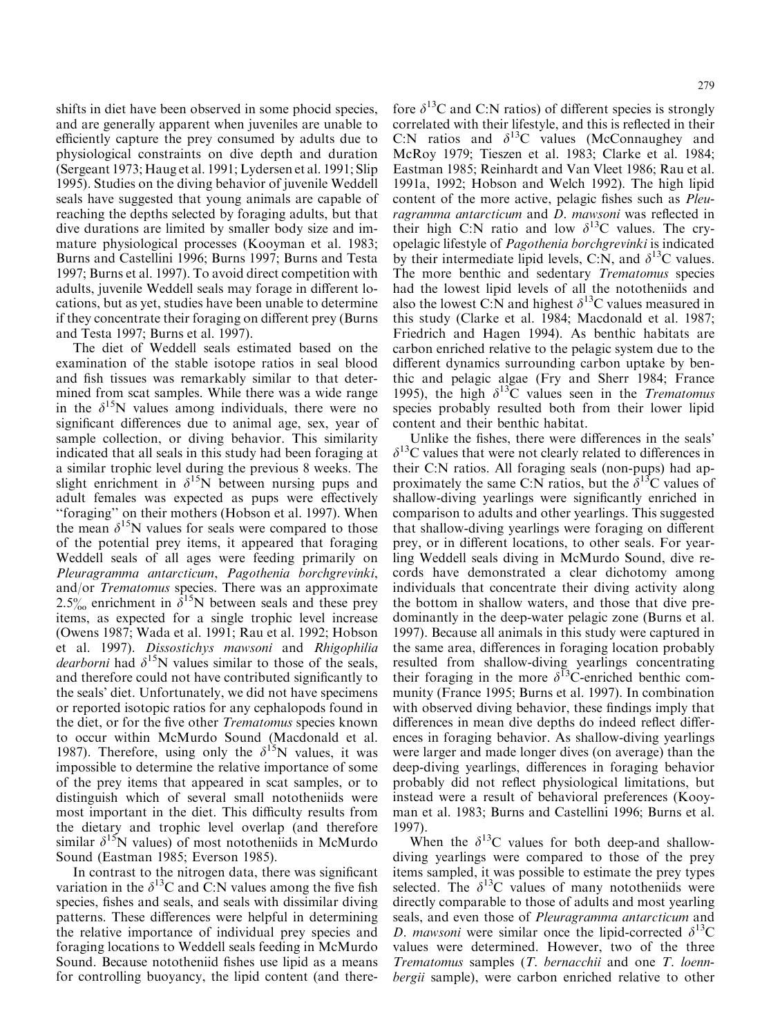shifts in diet have been observed in some phocid species, and are generally apparent when juveniles are unable to efficiently capture the prey consumed by adults due to physiological constraints on dive depth and duration (Sergeant 1973; Haug et al. 1991; Lydersen et al. 1991; Slip 1995). Studies on the diving behavior of juvenile Weddell seals have suggested that young animals are capable of reaching the depths selected by foraging adults, but that dive durations are limited by smaller body size and immature physiological processes (Kooyman et al. 1983; Burns and Castellini 1996; Burns 1997; Burns and Testa 1997; Burns et al. 1997). To avoid direct competition with adults, juvenile Weddell seals may forage in different locations, but as yet, studies have been unable to determine if they concentrate their foraging on different prey (Burns and Testa 1997; Burns et al. 1997).

The diet of Weddell seals estimated based on the examination of the stable isotope ratios in seal blood and fish tissues was remarkably similar to that determined from scat samples. While there was a wide range in the  $\delta^{15}N$  values among individuals, there were no significant differences due to animal age, sex, year of sample collection, or diving behavior. This similarity indicated that all seals in this study had been foraging at a similar trophic level during the previous 8 weeks. The slight enrichment in  $\delta^{15}N$  between nursing pups and adult females was expected as pups were effectively ``foraging'' on their mothers (Hobson et al. 1997). When the mean  $\delta^{15}N$  values for seals were compared to those of the potential prey items, it appeared that foraging Weddell seals of all ages were feeding primarily on Pleuragramma antarcticum, Pagothenia borchgrevinki, and/or Trematomus species. There was an approximate 2.5% enrichment in  $\delta^{15}N$  between seals and these prey items, as expected for a single trophic level increase (Owens 1987; Wada et al. 1991; Rau et al. 1992; Hobson et al. 1997). Dissostichys mawsoni and Rhigophilia dearborni had  $\delta^{15}N$  values similar to those of the seals, and therefore could not have contributed significantly to the seals' diet. Unfortunately, we did not have specimens or reported isotopic ratios for any cephalopods found in the diet, or for the five other Trematomus species known to occur within McMurdo Sound (Macdonald et al. 1987). Therefore, using only the  $\delta^{15}N$  values, it was impossible to determine the relative importance of some of the prey items that appeared in scat samples, or to distinguish which of several small nototheniids were most important in the diet. This difficulty results from the dietary and trophic level overlap (and therefore similar  $\delta^{15}N$  values) of most nototheniids in McMurdo Sound (Eastman 1985; Everson 1985).

In contrast to the nitrogen data, there was significant variation in the  $\delta^{13}$ C and C:N values among the five fish species, fishes and seals, and seals with dissimilar diving patterns. These differences were helpful in determining the relative importance of individual prey species and foraging locations to Weddell seals feeding in McMurdo Sound. Because nototheniid fishes use lipid as a means for controlling buoyancy, the lipid content (and therefore  $\delta^{13}$ C and C:N ratios) of different species is strongly correlated with their lifestyle, and this is reflected in their C:N ratios and  $\delta^{13}$ C values (McConnaughey and McRoy 1979; Tieszen et al. 1983; Clarke et al. 1984; Eastman 1985; Reinhardt and Van Vleet 1986; Rau et al. 1991a, 1992; Hobson and Welch 1992). The high lipid content of the more active, pelagic fishes such as *Pleu*ragramma antarcticum and D. mawsoni was reflected in their high C:N ratio and low  $\delta^{13}$ C values. The cryopelagic lifestyle of Pagothenia borchgrevinki is indicated by their intermediate lipid levels, C:N, and  $\delta^{13}$ C values. The more benthic and sedentary Trematomus species had the lowest lipid levels of all the nototheniids and also the lowest C:N and highest  $\delta^{13}$ C values measured in this study (Clarke et al. 1984; Macdonald et al. 1987; Friedrich and Hagen 1994). As benthic habitats are carbon enriched relative to the pelagic system due to the different dynamics surrounding carbon uptake by benthic and pelagic algae (Fry and Sherr 1984; France 1995), the high  $\delta^{13}$ C values seen in the *Trematomus* species probably resulted both from their lower lipid content and their benthic habitat.

Unlike the fishes, there were differences in the seals'  $\delta^{13}$ C values that were not clearly related to differences in their C:N ratios. All foraging seals (non-pups) had approximately the same C:N ratios, but the  $\delta^{13}$ C values of shallow-diving yearlings were significantly enriched in comparison to adults and other yearlings. This suggested that shallow-diving yearlings were foraging on different prey, or in different locations, to other seals. For yearling Weddell seals diving in McMurdo Sound, dive records have demonstrated a clear dichotomy among individuals that concentrate their diving activity along the bottom in shallow waters, and those that dive predominantly in the deep-water pelagic zone (Burns et al. 1997). Because all animals in this study were captured in the same area, differences in foraging location probably resulted from shallow-diving yearlings concentrating their foraging in the more  $\delta^{13}$ C-enriched benthic community (France 1995; Burns et al. 1997). In combination with observed diving behavior, these findings imply that differences in mean dive depths do indeed reflect differences in foraging behavior. As shallow-diving yearlings were larger and made longer dives (on average) than the deep-diving yearlings, differences in foraging behavior probably did not reflect physiological limitations, but instead were a result of behavioral preferences (Kooyman et al. 1983; Burns and Castellini 1996; Burns et al. 1997).

When the  $\delta^{13}$ C values for both deep-and shallowdiving yearlings were compared to those of the prey items sampled, it was possible to estimate the prey types selected. The  $\delta^{13}$ C values of many nototheniids were directly comparable to those of adults and most yearling seals, and even those of Pleuragramma antarcticum and D. mawsoni were similar once the lipid-corrected  $\delta^{13}C$ values were determined. However, two of the three Trematomus samples (T. bernacchii and one T. loennbergii sample), were carbon enriched relative to other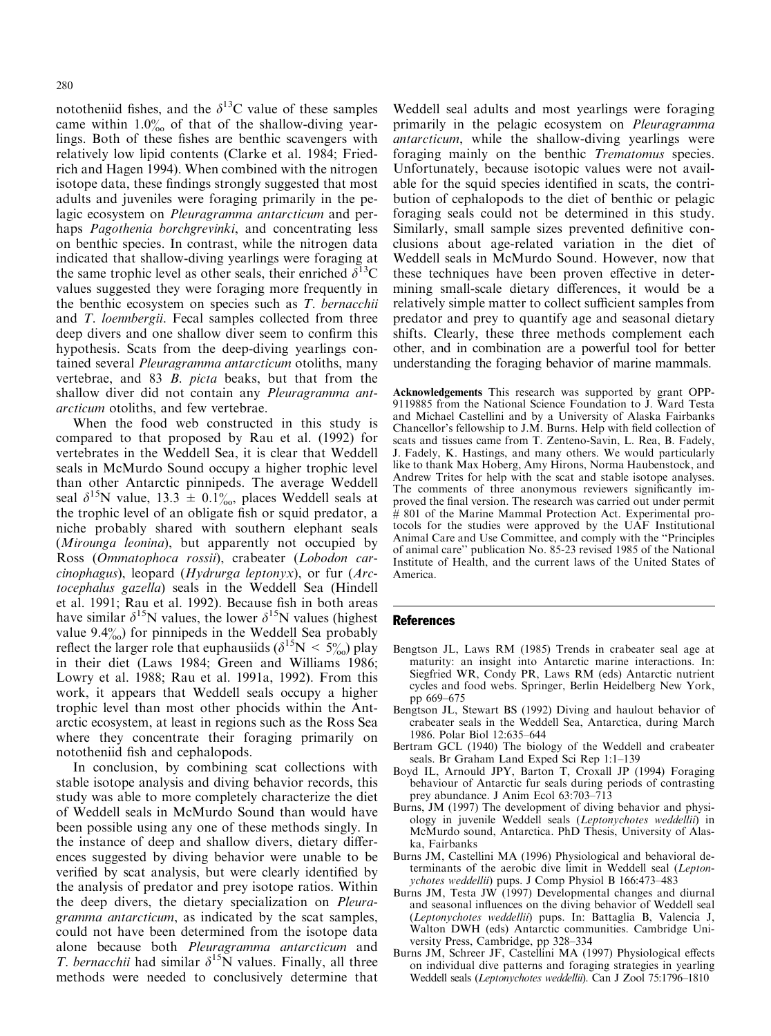nototheniid fishes, and the  $\delta^{13}$ C value of these samples came within  $1.0\%$  of that of the shallow-diving yearlings. Both of these fishes are benthic scavengers with relatively low lipid contents (Clarke et al. 1984; Friedrich and Hagen 1994). When combined with the nitrogen isotope data, these findings strongly suggested that most adults and juveniles were foraging primarily in the pelagic ecosystem on Pleuragramma antarcticum and perhaps Pagothenia borchgrevinki, and concentrating less on benthic species. In contrast, while the nitrogen data indicated that shallow-diving yearlings were foraging at the same trophic level as other seals, their enriched  $\delta^{13}C$ values suggested they were foraging more frequently in the benthic ecosystem on species such as T. bernacchii and T. loennbergii. Fecal samples collected from three deep divers and one shallow diver seem to confirm this hypothesis. Scats from the deep-diving yearlings contained several Pleuragramma antarcticum otoliths, many vertebrae, and 83 B. picta beaks, but that from the shallow diver did not contain any Pleuragramma antarcticum otoliths, and few vertebrae.

When the food web constructed in this study is compared to that proposed by Rau et al. (1992) for vertebrates in the Weddell Sea, it is clear that Weddell seals in McMurdo Sound occupy a higher trophic level than other Antarctic pinnipeds. The average Weddell seal  $\delta^{15}$ N value, 13.3  $\pm$  0.1‰, places Weddell seals at the trophic level of an obligate fish or squid predator, a niche probably shared with southern elephant seals (Mirounga leonina), but apparently not occupied by Ross (Ommatophoca rossii), crabeater (Lobodon carcinophagus), leopard (Hydrurga leptonyx), or fur  $Arc$ tocephalus gazella) seals in the Weddell Sea (Hindell et al. 1991; Rau et al. 1992). Because fish in both areas have similar  $\delta^{15}N$  values, the lower  $\delta^{15}N$  values (highest value  $9.4\%$ ) for pinnipeds in the Weddell Sea probably reflect the larger role that euphausiids ( $\delta^{15}N < 5\%$ ) play in their diet (Laws 1984; Green and Williams 1986; Lowry et al. 1988; Rau et al. 1991a, 1992). From this work, it appears that Weddell seals occupy a higher trophic level than most other phocids within the Antarctic ecosystem, at least in regions such as the Ross Sea where they concentrate their foraging primarily on nototheniid fish and cephalopods.

In conclusion, by combining scat collections with stable isotope analysis and diving behavior records, this study was able to more completely characterize the diet of Weddell seals in McMurdo Sound than would have been possible using any one of these methods singly. In the instance of deep and shallow divers, dietary differences suggested by diving behavior were unable to be verified by scat analysis, but were clearly identified by the analysis of predator and prey isotope ratios. Within the deep divers, the dietary specialization on Pleuragramma antarcticum, as indicated by the scat samples, could not have been determined from the isotope data alone because both Pleuragramma antarcticum and T. bernacchii had similar  $\delta^{15}$ N values. Finally, all three methods were needed to conclusively determine that Weddell seal adults and most yearlings were foraging primarily in the pelagic ecosystem on Pleuragramma antarcticum, while the shallow-diving yearlings were foraging mainly on the benthic *Trematomus* species. Unfortunately, because isotopic values were not available for the squid species identified in scats, the contribution of cephalopods to the diet of benthic or pelagic foraging seals could not be determined in this study. Similarly, small sample sizes prevented definitive conclusions about age-related variation in the diet of Weddell seals in McMurdo Sound. However, now that these techniques have been proven effective in determining small-scale dietary differences, it would be a relatively simple matter to collect sufficient samples from predator and prey to quantify age and seasonal dietary shifts. Clearly, these three methods complement each other, and in combination are a powerful tool for better understanding the foraging behavior of marine mammals.

Acknowledgements This research was supported by grant OPP-9119885 from the National Science Foundation to J. Ward Testa and Michael Castellini and by a University of Alaska Fairbanks Chancellor's fellowship to J.M. Burns. Help with field collection of scats and tissues came from T. Zenteno-Savin, L. Rea, B. Fadely, J. Fadely, K. Hastings, and many others. We would particularly like to thank Max Hoberg, Amy Hirons, Norma Haubenstock, and Andrew Trites for help with the scat and stable isotope analyses. The comments of three anonymous reviewers significantly improved the final version. The research was carried out under permit # 801 of the Marine Mammal Protection Act. Experimental protocols for the studies were approved by the UAF Institutional Animal Care and Use Committee, and comply with the "Principles" of animal care'' publication No. 85-23 revised 1985 of the National Institute of Health, and the current laws of the United States of America.

#### References

- Bengtson JL, Laws RM (1985) Trends in crabeater seal age at maturity: an insight into Antarctic marine interactions. In: Siegfried WR, Condy PR, Laws RM (eds) Antarctic nutrient cycles and food webs. Springer, Berlin Heidelberg New York, pp 669-675
- Bengtson JL, Stewart BS (1992) Diving and haulout behavior of crabeater seals in the Weddell Sea, Antarctica, during March 1986. Polar Biol 12:635–644
- Bertram GCL (1940) The biology of the Weddell and crabeater seals. Br Graham Land Exped Sci Rep 1:1-139
- Boyd IL, Arnould JPY, Barton T, Croxall JP (1994) Foraging behaviour of Antarctic fur seals during periods of contrasting prey abundance. J Anim Ecol 63:703-713
- Burns, JM (1997) The development of diving behavior and physiology in juvenile Weddell seals (Leptonychotes weddellii) in McMurdo sound, Antarctica. PhD Thesis, University of Alaska, Fairbanks
- Burns JM, Castellini MA (1996) Physiological and behavioral determinants of the aerobic dive limit in Weddell seal (Leptonychotes weddellii) pups. J Comp Physiol B 166:473-483
- Burns JM, Testa JW (1997) Developmental changes and diurnal and seasonal influences on the diving behavior of Weddell seal (Leptonychotes weddellii) pups. In: Battaglia B, Valencia J, Walton DWH (eds) Antarctic communities. Cambridge University Press, Cambridge, pp 328-334
- Burns JM, Schreer JF, Castellini MA (1997) Physiological effects on individual dive patterns and foraging strategies in yearling Weddell seals (Leptonychotes weddellii). Can J Zool 75:1796-1810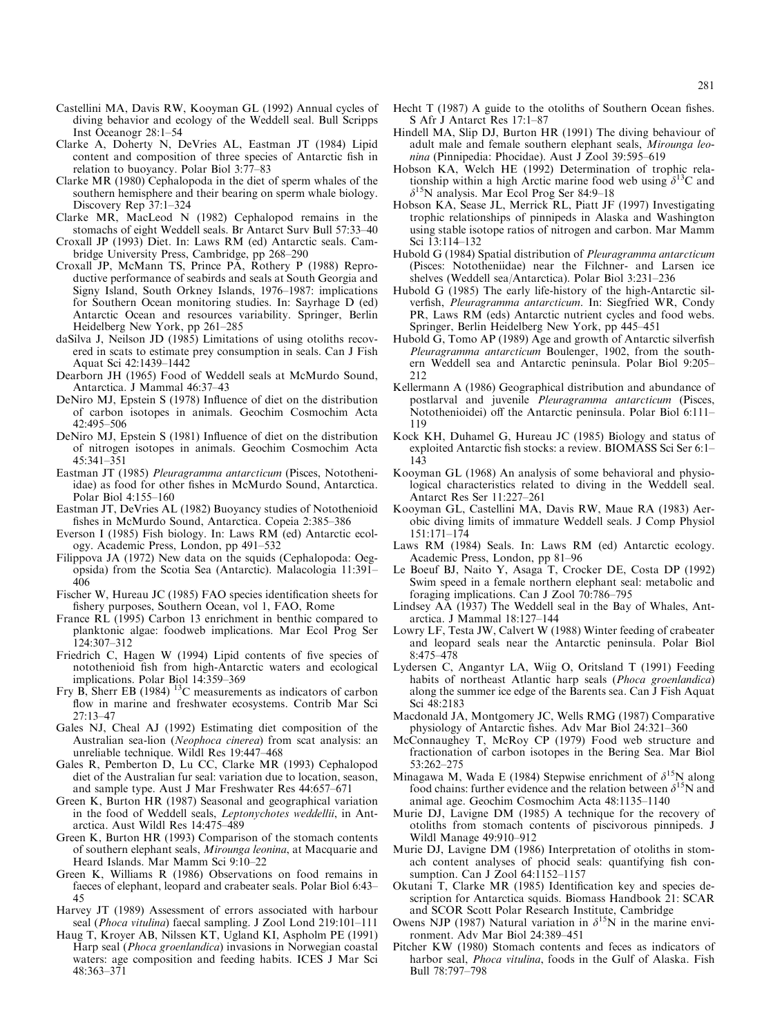- Castellini MA, Davis RW, Kooyman GL (1992) Annual cycles of diving behavior and ecology of the Weddell seal. Bull Scripps Inst Oceanogr 28:1–54
- Clarke A, Doherty N, DeVries AL, Eastman JT (1984) Lipid content and composition of three species of Antarctic fish in relation to buoyancy. Polar Biol 3:77-83
- Clarke MR (1980) Cephalopoda in the diet of sperm whales of the southern hemisphere and their bearing on sperm whale biology. Discovery Rep 37:1-324
- Clarke MR, MacLeod N (1982) Cephalopod remains in the stomachs of eight Weddell seals. Br Antarct Surv Bull 57:33-40
- Croxall JP (1993) Diet. In: Laws RM (ed) Antarctic seals. Cambridge University Press, Cambridge, pp 268-290
- Croxall JP, McMann TS, Prince PA, Rothery P (1988) Reproductive performance of seabirds and seals at South Georgia and Signy Island, South Orkney Islands, 1976-1987: implications for Southern Ocean monitoring studies. In: Sayrhage D (ed) Antarctic Ocean and resources variability. Springer, Berlin Heidelberg New York, pp 261-285
- daSilva J, Neilson JD (1985) Limitations of using otoliths recovered in scats to estimate prey consumption in seals. Can J Fish Aquat Sci 42:1439-1442
- Dearborn JH (1965) Food of Weddell seals at McMurdo Sound, Antarctica. J Mammal 46:37-43
- DeNiro MJ, Epstein S (1978) Influence of diet on the distribution of carbon isotopes in animals. Geochim Cosmochim Acta 42:495±506
- DeNiro MJ, Epstein S (1981) Influence of diet on the distribution of nitrogen isotopes in animals. Geochim Cosmochim Acta  $45:341-351$
- Eastman JT (1985) Pleuragramma antarcticum (Pisces, Nototheniidae) as food for other fishes in McMurdo Sound, Antarctica. Polar Biol 4:155-160
- Eastman JT, DeVries AL (1982) Buoyancy studies of Notothenioid fishes in McMurdo Sound, Antarctica. Copeia 2:385-386
- Everson I (1985) Fish biology. In: Laws RM (ed) Antarctic ecology. Academic Press, London, pp 491-532
- Filippova JA (1972) New data on the squids (Cephalopoda: Oegopsida) from the Scotia Sea (Antarctic). Malacologia 11:391± 406
- Fischer W, Hureau JC (1985) FAO species identification sheets for fishery purposes, Southern Ocean, vol 1, FAO, Rome
- France RL (1995) Carbon 13 enrichment in benthic compared to planktonic algae: foodweb implications. Mar Ecol Prog Ser 124:307±312
- Friedrich C, Hagen W (1994) Lipid contents of five species of notothenioid fish from high-Antarctic waters and ecological implications. Polar Biol 14:359-369
- Fry B, Sherr EB (1984)  $^{13}$ C measurements as indicators of carbon flow in marine and freshwater ecosystems. Contrib Mar Sci 27:13±47
- Gales NJ, Cheal AJ (1992) Estimating diet composition of the Australian sea-lion (Neophoca cinerea) from scat analysis: an unreliable technique. Wildl Res 19:447-468
- Gales R, Pemberton D, Lu CC, Clarke MR (1993) Cephalopod diet of the Australian fur seal: variation due to location, season, and sample type. Aust J Mar Freshwater Res  $44:657-671$
- Green K, Burton HR (1987) Seasonal and geographical variation in the food of Weddell seals, Leptonychotes weddellii, in Antarctica. Aust Wildl Res 14:475-489
- Green K, Burton HR (1993) Comparison of the stomach contents of southern elephant seals, Mirounga leonina, at Macquarie and Heard Islands. Mar Mamm Sci 9:10-22
- Green K, Williams R (1986) Observations on food remains in faeces of elephant, leopard and crabeater seals. Polar Biol 6:43-45
- Harvey JT (1989) Assessment of errors associated with harbour seal (*Phoca vitulina*) faecal sampling. J Zool Lond 219:101-111
- Haug T, Kroyer AB, Nilssen KT, Ugland KI, Aspholm PE (1991) Harp seal (Phoca groenlandica) invasions in Norwegian coastal waters: age composition and feeding habits. ICES J Mar Sci  $48:363 - 371$
- Hecht T (1987) A guide to the otoliths of Southern Ocean fishes. S Afr J Antarct Res 17:1-87
- Hindell MA, Slip DJ, Burton HR (1991) The diving behaviour of adult male and female southern elephant seals, Mirounga leonina (Pinnipedia: Phocidae). Aust J Zool 39:595-619
- Hobson KA, Welch HE (1992) Determination of trophic relationship within a high Arctic marine food web using  $\delta^{13}$ C and  $\delta^{15}$ N analysis. Mar Ecol Prog Ser 84:9–18
- Hobson KA, Sease JL, Merrick RL, Piatt JF (1997) Investigating trophic relationships of pinnipeds in Alaska and Washington using stable isotope ratios of nitrogen and carbon. Mar Mamm Sci 13:114-132
- Hubold G (1984) Spatial distribution of Pleuragramma antarcticum (Pisces: Nototheniidae) near the Filchner- and Larsen ice shelves (Weddell sea/Antarctica). Polar Biol 3:231-236
- Hubold G (1985) The early life-history of the high-Antarctic silverfish, Pleuragramma antarcticum. In: Siegfried WR, Condy PR, Laws RM (eds) Antarctic nutrient cycles and food webs. Springer, Berlin Heidelberg New York, pp 445-451
- Hubold G, Tomo AP (1989) Age and growth of Antarctic silverfish Pleuragramma antarcticum Boulenger, 1902, from the southern Weddell sea and Antarctic peninsula. Polar Biol 9:205-212
- Kellermann A (1986) Geographical distribution and abundance of postlarval and juvenile Pleuragramma antarcticum (Pisces, Notothenioidei) off the Antarctic peninsula. Polar Biol 6:111-119
- Kock KH, Duhamel G, Hureau JC (1985) Biology and status of exploited Antarctic fish stocks: a review. BIOMASS Sci Ser 6:1-143
- Kooyman GL (1968) An analysis of some behavioral and physiological characteristics related to diving in the Weddell seal. Antarct Res Ser 11:227-261
- Kooyman GL, Castellini MA, Davis RW, Maue RA (1983) Aerobic diving limits of immature Weddell seals. J Comp Physiol 151:171±174
- Laws RM (1984) Seals. In: Laws RM (ed) Antarctic ecology. Academic Press, London, pp 81–96
- Le Boeuf BJ, Naito Y, Asaga T, Crocker DE, Costa DP (1992) Swim speed in a female northern elephant seal: metabolic and foraging implications. Can J Zool 70:786-795
- Lindsey AA (1937) The Weddell seal in the Bay of Whales, Antarctica. J Mammal 18:127-144
- Lowry LF, Testa JW, Calvert W (1988) Winter feeding of crabeater and leopard seals near the Antarctic peninsula. Polar Biol 8:475±478
- Lydersen C, Angantyr LA, Wiig O, Oritsland T (1991) Feeding habits of northeast Atlantic harp seals (Phoca groenlandica) along the summer ice edge of the Barents sea. Can J Fish Aquat Sci 48:2183
- Macdonald JA, Montgomery JC, Wells RMG (1987) Comparative physiology of Antarctic fishes. Adv Mar Biol  $24:321-360$
- McConnaughey T, McRoy CP (1979) Food web structure and fractionation of carbon isotopes in the Bering Sea. Mar Biol 53:262-275
- Minagawa M, Wada E (1984) Stepwise enrichment of  $\delta^{15}N$  along food chains: further evidence and the relation between  $\delta^{15}N$  and animal age. Geochim Cosmochim Acta 48:1135-1140
- Murie DJ, Lavigne DM (1985) A technique for the recovery of otoliths from stomach contents of piscivorous pinnipeds. J Wildl Manage 49:910-912
- Murie DJ, Lavigne DM (1986) Interpretation of otoliths in stomach content analyses of phocid seals: quantifying fish consumption. Can J  $\bar{Z}$ ool 64:1152–1157
- Okutani T, Clarke MR (1985) Identification key and species description for Antarctica squids. Biomass Handbook 21: SCAR and SCOR Scott Polar Research Institute, Cambridge
- Owens NJP (1987) Natural variation in  $\delta^{15}N$  in the marine environment. Adv Mar Biol 24:389-451
- Pitcher KW (1980) Stomach contents and feces as indicators of harbor seal, Phoca vitulina, foods in the Gulf of Alaska. Fish Bull 78:797±798